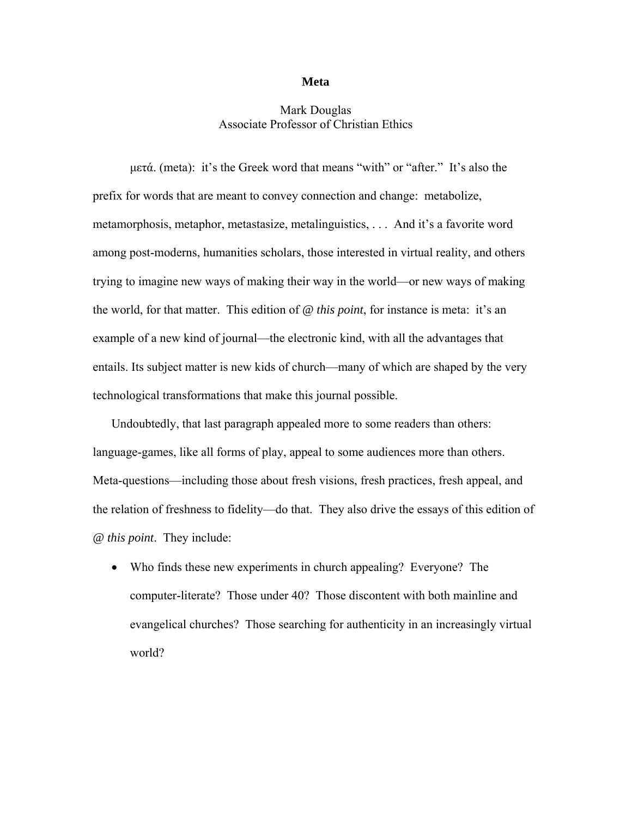## **Meta**

## Mark Douglas Associate Professor of Christian Ethics

μετά. (meta): it's the Greek word that means "with" or "after." It's also the prefix for words that are meant to convey connection and change: metabolize, metamorphosis, metaphor, metastasize, metalinguistics, . . . And it's a favorite word among post-moderns, humanities scholars, those interested in virtual reality, and others trying to imagine new ways of making their way in the world—or new ways of making the world, for that matter. This edition of *@ this point*, for instance is meta: it's an example of a new kind of journal—the electronic kind, with all the advantages that entails. Its subject matter is new kids of church—many of which are shaped by the very technological transformations that make this journal possible.

Undoubtedly, that last paragraph appealed more to some readers than others: language-games, like all forms of play, appeal to some audiences more than others. Meta-questions—including those about fresh visions, fresh practices, fresh appeal, and the relation of freshness to fidelity—do that. They also drive the essays of this edition of *@ this point*. They include:

• Who finds these new experiments in church appealing? Everyone? The computer-literate? Those under 40? Those discontent with both mainline and evangelical churches? Those searching for authenticity in an increasingly virtual world?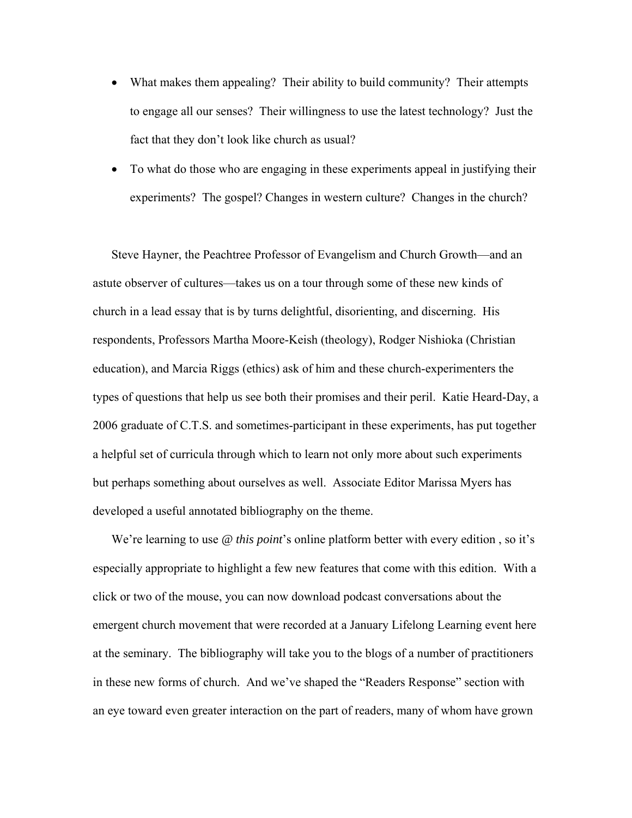- What makes them appealing? Their ability to build community? Their attempts to engage all our senses? Their willingness to use the latest technology? Just the fact that they don't look like church as usual?
- To what do those who are engaging in these experiments appeal in justifying their experiments? The gospel? Changes in western culture? Changes in the church?

Steve Hayner, the Peachtree Professor of Evangelism and Church Growth—and an astute observer of cultures—takes us on a tour through some of these new kinds of church in a lead essay that is by turns delightful, disorienting, and discerning. His respondents, Professors Martha Moore-Keish (theology), Rodger Nishioka (Christian education), and Marcia Riggs (ethics) ask of him and these church-experimenters the types of questions that help us see both their promises and their peril. Katie Heard-Day, a 2006 graduate of C.T.S. and sometimes-participant in these experiments, has put together a helpful set of curricula through which to learn not only more about such experiments but perhaps something about ourselves as well. Associate Editor Marissa Myers has developed a useful annotated bibliography on the theme.

We're learning to use *@ this point*'s online platform better with every edition , so it's especially appropriate to highlight a few new features that come with this edition. With a click or two of the mouse, you can now download podcast conversations about the emergent church movement that were recorded at a January Lifelong Learning event here at the seminary. The bibliography will take you to the blogs of a number of practitioners in these new forms of church. And we've shaped the "Readers Response" section with an eye toward even greater interaction on the part of readers, many of whom have grown